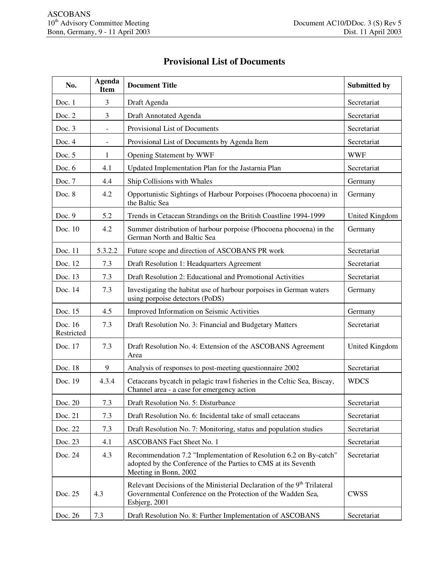| No.                   | <b>Agenda</b><br><b>Item</b> | <b>Document Title</b>                                                                                                                                                | Submitted by   |
|-----------------------|------------------------------|----------------------------------------------------------------------------------------------------------------------------------------------------------------------|----------------|
| Doc. $1$              | 3                            | Draft Agenda                                                                                                                                                         | Secretariat    |
| Doc. 2                | 3                            | Draft Annotated Agenda                                                                                                                                               | Secretariat    |
| Doc. 3                |                              | Provisional List of Documents                                                                                                                                        | Secretariat    |
| Doc. 4                |                              | Provisional List of Documents by Agenda Item                                                                                                                         | Secretariat    |
| Doc. $5$              | $\mathbf{1}$                 | Opening Statement by WWF                                                                                                                                             | <b>WWF</b>     |
| Doc. $6$              | 4.1                          | Updated Implementation Plan for the Jastarnia Plan                                                                                                                   | Secretariat    |
| Doc. 7                | 4.4                          | Ship Collisions with Whales                                                                                                                                          | Germany        |
| Doc. 8                | 4.2                          | Opportunistic Sightings of Harbour Porpoises (Phocoena phocoena) in<br>the Baltic Sea                                                                                | Germany        |
| Doc. 9                | 5.2                          | Trends in Cetacean Strandings on the British Coastline 1994-1999                                                                                                     | United Kingdom |
| Doc. 10               | 4.2                          | Summer distribution of harbour porpoise (Phocoena phocoena) in the<br>German North and Baltic Sea                                                                    | Germany        |
| Doc. 11               | 5.3.2.2                      | Future scope and direction of ASCOBANS PR work                                                                                                                       | Secretariat    |
| Doc. 12               | 7.3                          | Draft Resolution 1: Headquarters Agreement                                                                                                                           | Secretariat    |
| Doc. 13               | 7.3                          | Draft Resolution 2: Educational and Promotional Activities                                                                                                           | Secretariat    |
| Doc. 14               | 7.3                          | Investigating the habitat use of harbour porpoises in German waters<br>using porpoise detectors (PoDS)                                                               | Germany        |
| Doc. 15               | 4.5                          | Improved Information on Seismic Activities                                                                                                                           | Germany        |
| Doc. 16<br>Restricted | 7.3                          | Draft Resolution No. 3: Financial and Budgetary Matters                                                                                                              | Secretariat    |
| Doc. 17               | 7.3                          | Draft Resolution No. 4: Extension of the ASCOBANS Agreement<br>Area                                                                                                  | United Kingdom |
| Doc. 18               | 9                            | Analysis of responses to post-meeting questionnaire 2002                                                                                                             | Secretariat    |
| Doc. 19               | 4.3.4                        | Cetaceans bycatch in pelagic trawl fisheries in the Celtic Sea, Biscay,<br>Channel area - a case for emergency action                                                | <b>WDCS</b>    |
| Doc. 20               | 7.3                          | Draft Resolution No. 5: Disturbance                                                                                                                                  | Secretariat    |
| Doc. 21               | 7.3                          | Draft Resolution No. 6: Incidental take of small cetaceans                                                                                                           | Secretariat    |
| Doc. 22               | 7.3                          | Draft Resolution No. 7: Monitoring, status and population studies                                                                                                    | Secretariat    |
| Doc. 23               | 4.1                          | <b>ASCOBANS Fact Sheet No. 1</b>                                                                                                                                     | Secretariat    |
| Doc. 24               | 4.3                          | Recommendation 7.2 "Implementation of Resolution 6.2 on By-catch"<br>adopted by the Conference of the Parties to CMS at its Seventh<br>Meeting in Bonn, 2002         | Secretariat    |
| Doc. 25               | 4.3                          | Relevant Decisions of the Ministerial Declaration of the 9 <sup>th</sup> Trilateral<br>Governmental Conference on the Protection of the Wadden Sea,<br>Esbjerg, 2001 | <b>CWSS</b>    |
| Doc. 26               | 7.3                          | Draft Resolution No. 8: Further Implementation of ASCOBANS                                                                                                           | Secretariat    |

## **Provisional List of Documents**